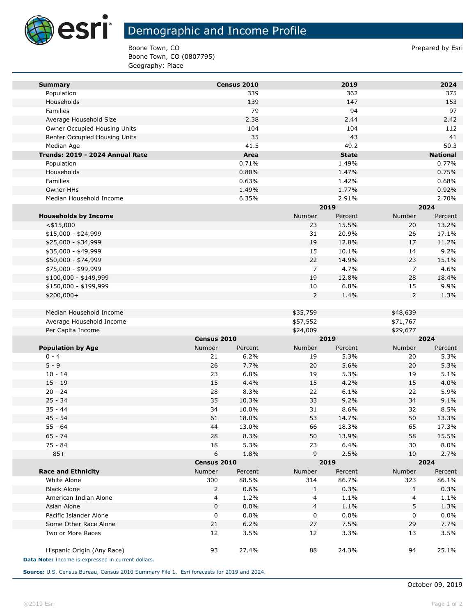

## Demographic and Income Profile

Boone Town, CO **Prepared by Estimate 2** and 2 and 2 and 2 and 2 and 2 and 2 and 2 and 2 and 2 and 2 and 2 and 2 and 2 and 2 and 2 and 2 and 2 and 2 and 2 and 2 and 2 and 2 and 2 and 2 and 2 and 2 and 2 and 2 and 2 and 2 an Boone Town, CO (0807795) Geography: Place

| <b>Summary</b>                                     |             | Census 2010     |                | 2019            |                | 2024            |
|----------------------------------------------------|-------------|-----------------|----------------|-----------------|----------------|-----------------|
| Population                                         |             | 339             |                | 362             |                | 375             |
| Households                                         |             | 139             |                | 147             |                | 153             |
| Families                                           |             | 79              |                | 94              |                | 97              |
| Average Household Size                             |             | 2.38            |                | 2.44            |                | 2.42            |
| Owner Occupied Housing Units                       |             | 104             |                | 104             |                | 112             |
| Renter Occupied Housing Units                      |             | 35              |                | 43              |                | 41              |
| Median Age                                         |             | 41.5            |                | 49.2            |                | 50.3            |
| Trends: 2019 - 2024 Annual Rate                    |             | Area            |                | <b>State</b>    |                | <b>National</b> |
| Population                                         |             | 0.71%           |                | 1.49%           |                | 0.77%           |
| Households                                         |             | 0.80%           |                | 1.47%           |                | 0.75%           |
| Families                                           |             | 0.63%           |                | 1.42%           |                | 0.68%           |
| Owner HHs                                          |             | 1.49%           |                | 1.77%           |                | 0.92%           |
| Median Household Income                            |             | 6.35%           |                | 2.91%           |                | 2.70%           |
|                                                    |             |                 |                | 2019            |                | 2024            |
| <b>Households by Income</b>                        |             |                 | Number         | Percent         | Number         | Percent         |
| $<$ \$15,000                                       |             |                 | 23             | 15.5%           | 20             | 13.2%           |
| $$15,000 - $24,999$                                |             |                 | 31             | 20.9%           | 26             | 17.1%           |
| \$25,000 - \$34,999                                |             |                 | 19             | 12.8%           | 17             | 11.2%           |
| \$35,000 - \$49,999                                |             |                 | 15             | 10.1%           | 14             | 9.2%            |
| \$50,000 - \$74,999                                |             |                 | 22             | 14.9%           | 23             | 15.1%           |
| \$75,000 - \$99,999                                |             |                 | $\overline{7}$ | 4.7%            | $\overline{7}$ | 4.6%            |
| \$100,000 - \$149,999                              |             |                 | 19             | 12.8%           | 28             | 18.4%           |
| \$150,000 - \$199,999                              |             |                 | 10             | 6.8%            | 15             | 9.9%            |
| \$200,000+                                         |             |                 | 2              | 1.4%            | $\overline{2}$ | 1.3%            |
|                                                    |             |                 |                |                 |                |                 |
| Median Household Income                            |             |                 | \$35,759       |                 | \$48,639       |                 |
| Average Household Income                           |             |                 | \$57,552       |                 | \$71,767       |                 |
| Per Capita Income                                  |             |                 | \$24,009       |                 | \$29,677       |                 |
|                                                    | Census 2010 |                 |                | 2019            |                | 2024            |
| <b>Population by Age</b><br>$0 - 4$                | Number      | Percent<br>6.2% | Number         | Percent<br>5.3% | Number         | Percent<br>5.3% |
| $5 - 9$                                            | 21<br>26    | 7.7%            | 19<br>20       | 5.6%            | 20<br>20       | 5.3%            |
| $10 - 14$                                          | 23          | 6.8%            | 19             | 5.3%            | 19             | 5.1%            |
| $15 - 19$                                          | 15          | 4.4%            | 15             | 4.2%            | 15             | 4.0%            |
| $20 - 24$                                          | 28          | 8.3%            | 22             | 6.1%            | 22             | 5.9%            |
| $25 - 34$                                          | 35          | 10.3%           | 33             | 9.2%            | 34             | 9.1%            |
| $35 - 44$                                          | 34          | 10.0%           | 31             | 8.6%            | 32             | 8.5%            |
| $45 - 54$                                          | 61          | 18.0%           | 53             | 14.7%           | 50             | 13.3%           |
| $55 - 64$                                          | 44          | 13.0%           | 66             | 18.3%           | 65             | 17.3%           |
| $65 - 74$                                          | 28          | 8.3%            | 50             | 13.9%           | 58             | 15.5%           |
| 75 - 84                                            | 18          | 5.3%            | 23             | 6.4%            | 30             | 8.0%            |
| $85+$                                              | 6           | 1.8%            | 9              | 2.5%            | 10             | 2.7%            |
|                                                    | Census 2010 |                 | 2019           |                 | 2024           |                 |
| <b>Race and Ethnicity</b>                          | Number      | Percent         | Number         | Percent         | Number         | Percent         |
| White Alone                                        | 300         | 88.5%           | 314            | 86.7%           | 323            | 86.1%           |
| <b>Black Alone</b>                                 | 2           | 0.6%            | 1              | 0.3%            | 1              | 0.3%            |
| American Indian Alone                              | 4           | 1.2%            | 4              | 1.1%            | 4              | 1.1%            |
| Asian Alone                                        | 0           | 0.0%            | 4              | 1.1%            | 5              | 1.3%            |
| Pacific Islander Alone                             | 0           | 0.0%            | 0              | 0.0%            | 0              | 0.0%            |
| Some Other Race Alone                              | 21          | 6.2%            | 27             | 7.5%            | 29             | 7.7%            |
| Two or More Races                                  | 12          | 3.5%            | 12             | 3.3%            | 13             | 3.5%            |
|                                                    |             |                 |                |                 |                |                 |
| Hispanic Origin (Any Race)                         | 93          | 27.4%           | 88             | 24.3%           | 94             | 25.1%           |
| Data Note: Income is expressed in current dollars. |             |                 |                |                 |                |                 |

**Source:** U.S. Census Bureau, Census 2010 Summary File 1. Esri forecasts for 2019 and 2024.